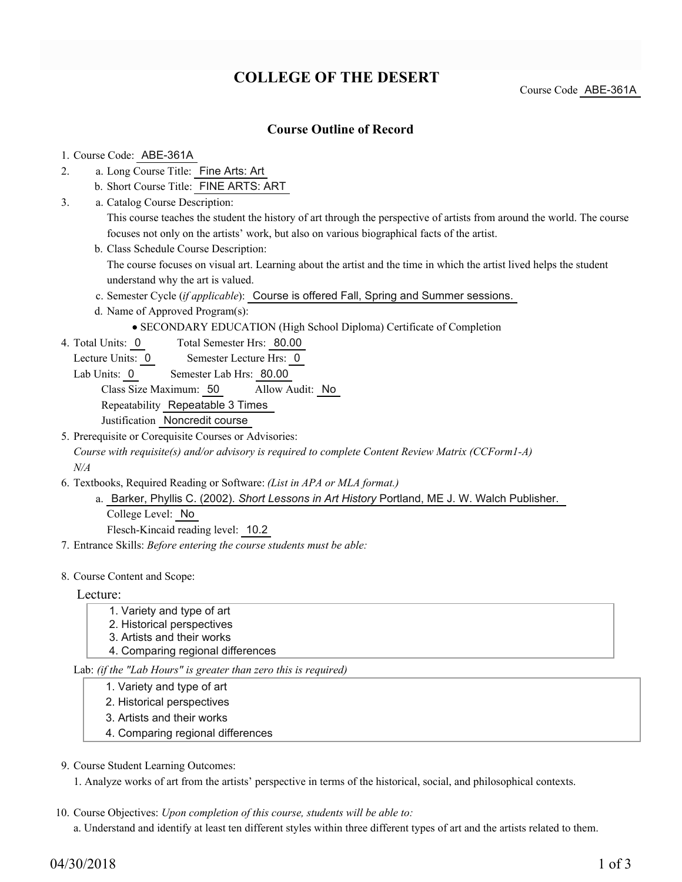# **COLLEGE OF THE DESERT**

Course Code ABE-361A

## **Course Outline of Record**

#### 1. Course Code: ABE-361A

- a. Long Course Title: Fine Arts: Art 2.
	- b. Short Course Title: FINE ARTS: ART
- Catalog Course Description: a. This course teaches the student the history of art through the perspective of artists from around the world. The course focuses not only on the artists' work, but also on various biographical facts of the artist. 3.
	- b. Class Schedule Course Description:

The course focuses on visual art. Learning about the artist and the time in which the artist lived helps the student understand why the art is valued.

- c. Semester Cycle (*if applicable*): Course is offered Fall, Spring and Summer sessions.
- d. Name of Approved Program(s):
	- SECONDARY EDUCATION (High School Diploma) Certificate of Completion
- Total Semester Hrs: 80.00 4. Total Units: 0
	- Lecture Units: 0 Semester Lecture Hrs: 0
	- Lab Units: 0 Semester Lab Hrs: 80.00

Class Size Maximum: 50 Allow Audit: No

Repeatability Repeatable 3 Times

Justification Noncredit course

5. Prerequisite or Corequisite Courses or Advisories: *Course with requisite(s) and/or advisory is required to complete Content Review Matrix (CCForm1-A) N/A*

- Textbooks, Required Reading or Software: *(List in APA or MLA format.)* 6.
	- a. Barker, Phyllis C. (2002). Short Lessons in Art History Portland, ME J. W. Walch Publisher. College Level: No

Flesch-Kincaid reading level: 10.2

7. Entrance Skills: *Before entering the course students must be able:*

#### 8. Course Content and Scope:

#### Lecture:

- 1. Variety and type of art
- 2. Historical perspectives
- 3. Artists and their works
- 4. Comparing regional differences

Lab: *(if the "Lab Hours" is greater than zero this is required)*

- 1. Variety and type of art
- 2. Historical perspectives
- 3. Artists and their works
- 4. Comparing regional differences

## 9. Course Student Learning Outcomes:

1. Analyze works of art from the artists' perspective in terms of the historical, social, and philosophical contexts.

10. Course Objectives: Upon completion of this course, students will be able to:

a. Understand and identify at least ten different styles within three different types of art and the artists related to them.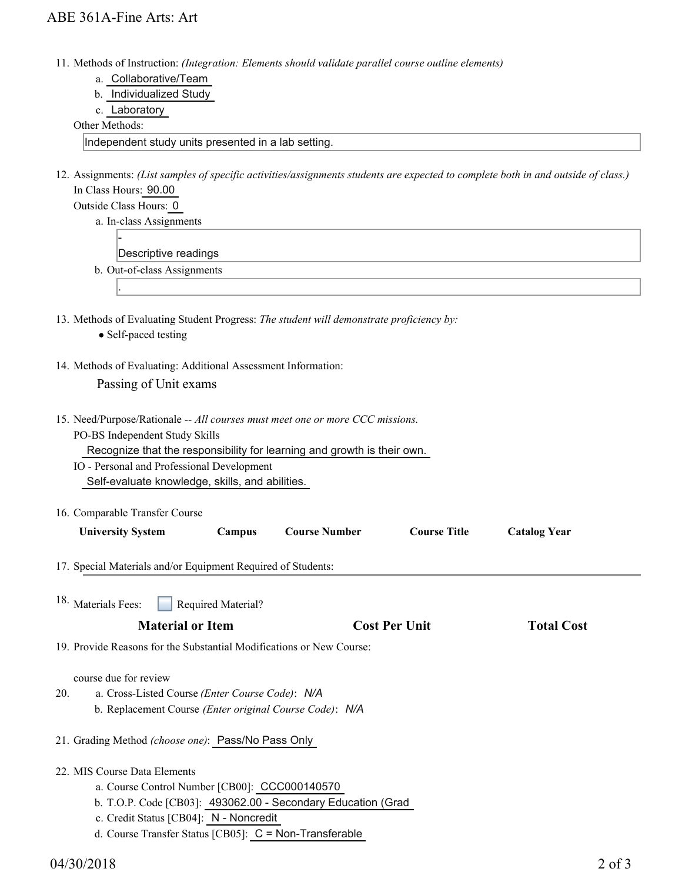- Methods of Instruction: *(Integration: Elements should validate parallel course outline elements)* 11.
	- a. Collaborative/Team
	- b. Individualized Study
	- c. Laboratory

#### Other Methods:

Independent study units presented in a lab setting.

12. Assignments: (List samples of specific activities/assignments students are expected to complete both in and outside of class.) In Class Hours: 90.00

| Descriptive readings        |
|-----------------------------|
| b. Out-of-class Assignments |
|                             |

14. Methods of Evaluating: Additional Assessment Information:

Passing of Unit exams

- 15. Need/Purpose/Rationale -- All courses must meet one or more CCC missions. PO-BS Independent Study Skills
	- Recognize that the responsibility for learning and growth is their own.
	- IO Personal and Professional Development Self-evaluate knowledge, skills, and abilities.
- 16. Comparable Transfer Course

| <b>University System</b>                                             | <b>Campus</b>             | <b>Course Number</b> | <b>Course Title</b>  | <b>Catalog Year</b> |  |  |  |
|----------------------------------------------------------------------|---------------------------|----------------------|----------------------|---------------------|--|--|--|
| 17. Special Materials and/or Equipment Required of Students:         |                           |                      |                      |                     |  |  |  |
| <sup>18.</sup> Materials Fees:                                       | <b>Required Material?</b> |                      |                      |                     |  |  |  |
|                                                                      | <b>Material or Item</b>   |                      | <b>Cost Per Unit</b> | <b>Total Cost</b>   |  |  |  |
| 19. Provide Reasons for the Substantial Modifications or New Course: |                           |                      |                      |                     |  |  |  |
| course due for review                                                |                           |                      |                      |                     |  |  |  |

- a. Cross-Listed Course *(Enter Course Code)*: *N/A* b. Replacement Course *(Enter original Course Code)*: *N/A* 20.
- 21. Grading Method *(choose one)*: Pass/No Pass Only
- 22. MIS Course Data Elements
	- a. Course Control Number [CB00]: CCC000140570
	- b. T.O.P. Code [CB03]: 493062.00 Secondary Education (Grad
	- c. Credit Status [CB04]: N Noncredit
	- d. Course Transfer Status [CB05]: C = Non-Transferable